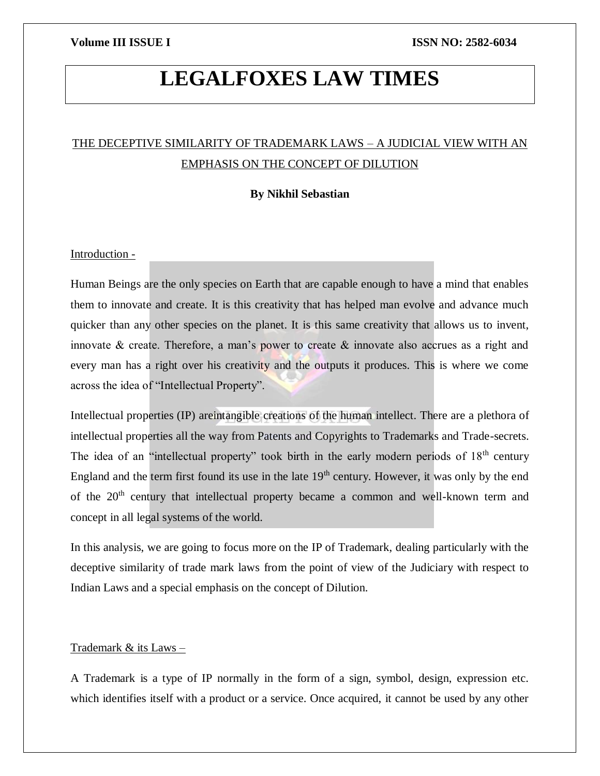# **LEGALFOXES LAW TIMES**

# THE DECEPTIVE SIMILARITY OF TRADEMARK LAWS – A JUDICIAL VIEW WITH AN EMPHASIS ON THE CONCEPT OF DILUTION

### **By Nikhil Sebastian**

### Introduction -

Human Beings are the only species on Earth that are capable enough to have a mind that enables them to innovate and create. It is this creativity that has helped man evolve and advance much quicker than any other species on the planet. It is this same creativity that allows us to invent, innovate & create. Therefore, a man's power to create & innovate also accrues as a right and every man has a right over his creativity and the outputs it produces. This is where we come across the idea of "Intellectual Property".

Intellectual properties (IP) areintangible creations of the human intellect. There are a plethora of intellectual properties all the way from Patents and Copyrights to Trademarks and Trade-secrets. The idea of an "intellectual property" took birth in the early modern periods of  $18<sup>th</sup>$  century England and the term first found its use in the late  $19<sup>th</sup>$  century. However, it was only by the end of the 20<sup>th</sup> century that intellectual property became a common and well-known term and concept in all legal systems of the world.

In this analysis, we are going to focus more on the IP of Trademark, dealing particularly with the deceptive similarity of trade mark laws from the point of view of the Judiciary with respect to Indian Laws and a special emphasis on the concept of Dilution.

### Trademark & its Laws –

A Trademark is a type of IP normally in the form of a sign, symbol, design, expression etc. which identifies itself with a product or a service. Once acquired, it cannot be used by any other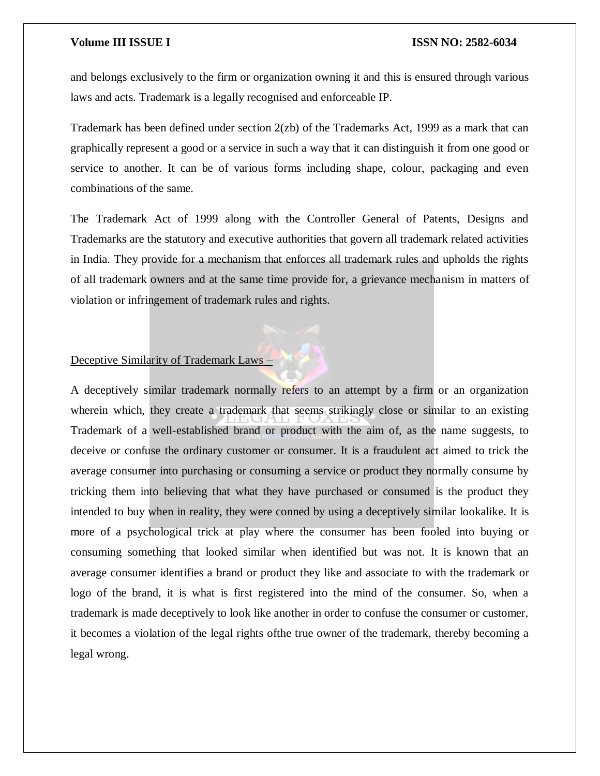and belongs exclusively to the firm or organization owning it and this is ensured through various laws and acts. Trademark is a legally recognised and enforceable IP.

Trademark has been defined under section 2(zb) of the Trademarks Act, 1999 as a mark that can graphically represent a good or a service in such a way that it can distinguish it from one good or service to another. It can be of various forms including shape, colour, packaging and even combinations of the same.

The Trademark Act of 1999 along with the Controller General of Patents, Designs and Trademarks are the statutory and executive authorities that govern all trademark related activities in India. They provide for a mechanism that enforces all trademark rules and upholds the rights of all trademark owners and at the same time provide for, a grievance mechanism in matters of violation or infringement of trademark rules and rights.

### Deceptive Similarity of Trademark Laws –

A deceptively similar trademark normally refers to an attempt by a firm or an organization wherein which, they create a trademark that seems strikingly close or similar to an existing Trademark of a well-established brand or product with the aim of, as the name suggests, to deceive or confuse the ordinary customer or consumer. It is a fraudulent act aimed to trick the average consumer into purchasing or consuming a service or product they normally consume by tricking them into believing that what they have purchased or consumed is the product they intended to buy when in reality, they were conned by using a deceptively similar lookalike. It is more of a psychological trick at play where the consumer has been fooled into buying or consuming something that looked similar when identified but was not. It is known that an average consumer identifies a brand or product they like and associate to with the trademark or logo of the brand, it is what is first registered into the mind of the consumer. So, when a trademark is made deceptively to look like another in order to confuse the consumer or customer, it becomes a violation of the legal rights ofthe true owner of the trademark, thereby becoming a legal wrong.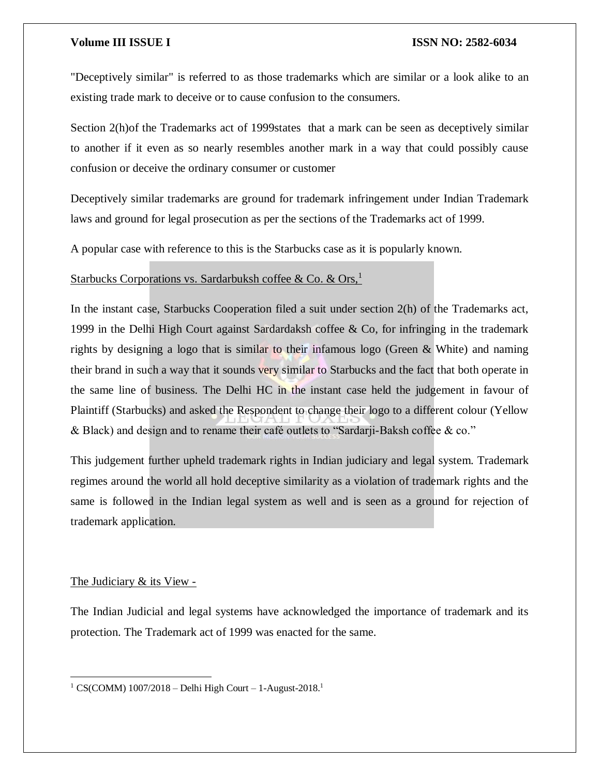"Deceptively similar" is referred to as those trademarks which are similar or a look alike to an existing trade mark to deceive or to cause confusion to the consumers.

Section 2(h)of the Trademarks act of 1999states that a mark can be seen as deceptively similar to another if it even as so nearly resembles another mark in a way that could possibly cause confusion or deceive the ordinary consumer or customer

Deceptively similar trademarks are ground for trademark infringement under Indian Trademark laws and ground for legal prosecution as per the sections of the Trademarks act of 1999.

A popular case with reference to this is the Starbucks case as it is popularly known.

### Starbucks Corporations vs. Sardarbuksh coffee & Co. & Ors,<sup>1</sup>

In the instant case, Starbucks Cooperation filed a suit under section 2(h) of the Trademarks act, 1999 in the Delhi High Court against Sardardaksh coffee & Co, for infringing in the trademark rights by designing a logo that is similar to their infamous logo (Green & White) and naming their brand in such a way that it sounds very similar to Starbucks and the fact that both operate in the same line of business. The Delhi HC in the instant case held the judgement in favour of Plaintiff (Starbucks) and asked the Respondent to change their logo to a different colour (Yellow & Black) and design and to rename their café outlets to "Sardarji-Baksh coffee & co."

This judgement further upheld trademark rights in Indian judiciary and legal system. Trademark regimes around the world all hold deceptive similarity as a violation of trademark rights and the same is followed in the Indian legal system as well and is seen as a ground for rejection of trademark application.

### The Judiciary & its View -

 $\overline{\phantom{a}}$ 

The Indian Judicial and legal systems have acknowledged the importance of trademark and its protection. The Trademark act of 1999 was enacted for the same.

<sup>&</sup>lt;sup>1</sup> CS(COMM)  $1007/2018$  – Delhi High Court – 1-August-2018.<sup>1</sup>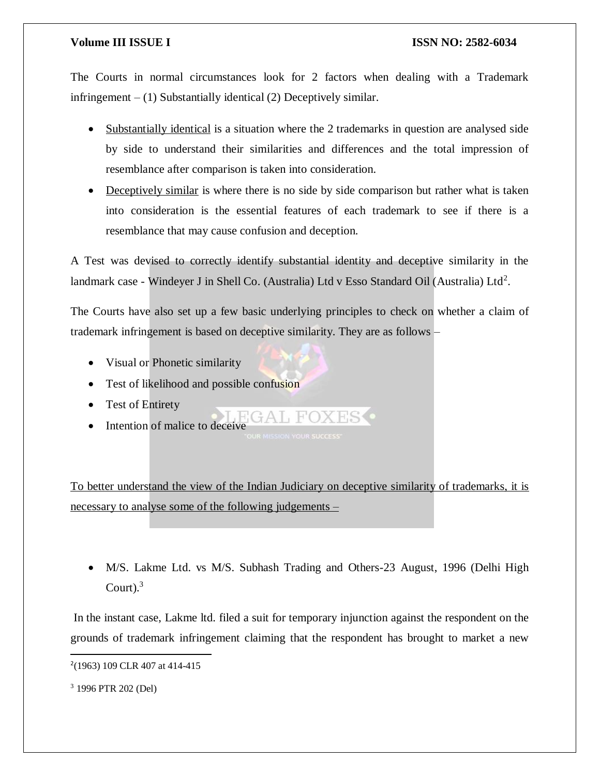The Courts in normal circumstances look for 2 factors when dealing with a Trademark infringement  $- (1)$  Substantially identical  $(2)$  Deceptively similar.

- Substantially identical is a situation where the 2 trademarks in question are analysed side by side to understand their similarities and differences and the total impression of resemblance after comparison is taken into consideration.
- Deceptively similar is where there is no side by side comparison but rather what is taken into consideration is the essential features of each trademark to see if there is a resemblance that may cause confusion and deception.

A Test was devised to correctly identify substantial identity and deceptive similarity in the landmark case - Windeyer J in Shell Co. (Australia) Ltd v Esso Standard Oil (Australia) Ltd<sup>2</sup>.

The Courts have also set up a few basic underlying principles to check on whether a claim of trademark infringement is based on deceptive similarity. They are as follows –

- Visual or Phonetic similarity
- Test of likelihood and possible confusion
- Test of Entirety
- Intention of malice to deceive

To better understand the view of the Indian Judiciary on deceptive similarity of trademarks, it is necessary to analyse some of the following judgements –

• M/S. Lakme Ltd. vs M/S. Subhash Trading and Others-23 August, 1996 (Delhi High Court). $3$ 

In the instant case, Lakme ltd. filed a suit for temporary injunction against the respondent on the grounds of trademark infringement claiming that the respondent has brought to market a new

<sup>2</sup> (1963) 109 CLR 407 at 414-415

<sup>3</sup> 1996 PTR 202 (Del)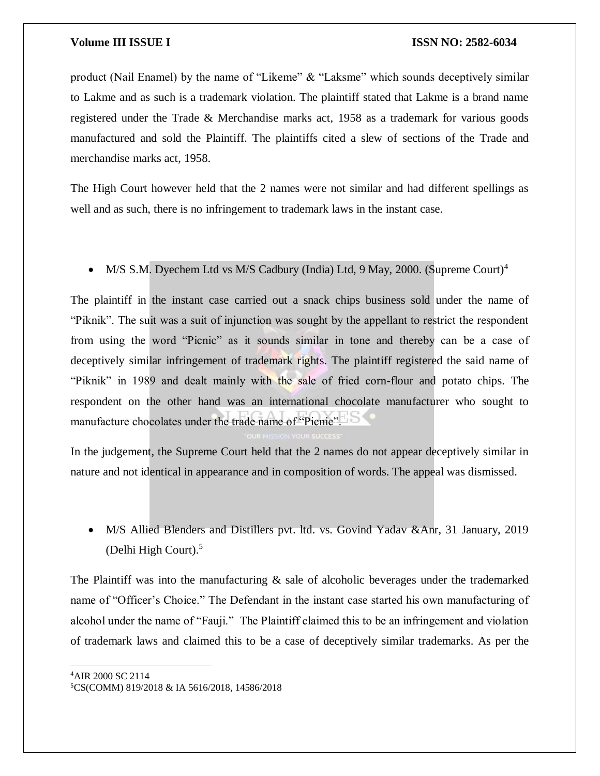product (Nail Enamel) by the name of "Likeme" & "Laksme" which sounds deceptively similar to Lakme and as such is a trademark violation. The plaintiff stated that Lakme is a brand name registered under the Trade & Merchandise marks act, 1958 as a trademark for various goods manufactured and sold the Plaintiff. The plaintiffs cited a slew of sections of the Trade and merchandise marks act, 1958.

The High Court however held that the 2 names were not similar and had different spellings as well and as such, there is no infringement to trademark laws in the instant case.

### • M/S S.M. Dyechem Ltd vs M/S Cadbury (India) Ltd, 9 May, 2000. (Supreme Court)<sup>4</sup>

The plaintiff in the instant case carried out a snack chips business sold under the name of "Piknik". The suit was a suit of injunction was sought by the appellant to restrict the respondent from using the word "Picnic" as it sounds similar in tone and thereby can be a case of deceptively similar infringement of trademark rights. The plaintiff registered the said name of "Piknik" in 1989 and dealt mainly with the sale of fried corn-flour and potato chips. The respondent on the other hand was an international chocolate manufacturer who sought to manufacture chocolates under the trade name of "Picnic".

In the judgement, the Supreme Court held that the 2 names do not appear deceptively similar in nature and not identical in appearance and in composition of words. The appeal was dismissed.

 M/S Allied Blenders and Distillers pvt. ltd. vs. Govind Yadav &Anr, 31 January, 2019 (Delhi High Court).<sup>5</sup>

The Plaintiff was into the manufacturing  $\&$  sale of alcoholic beverages under the trademarked name of "Officer's Choice." The Defendant in the instant case started his own manufacturing of alcohol under the name of "Fauji." The Plaintiff claimed this to be an infringement and violation of trademark laws and claimed this to be a case of deceptively similar trademarks. As per the

<sup>4</sup>AIR 2000 SC 2114

<sup>5</sup>CS(COMM) 819/2018 & IA 5616/2018, 14586/2018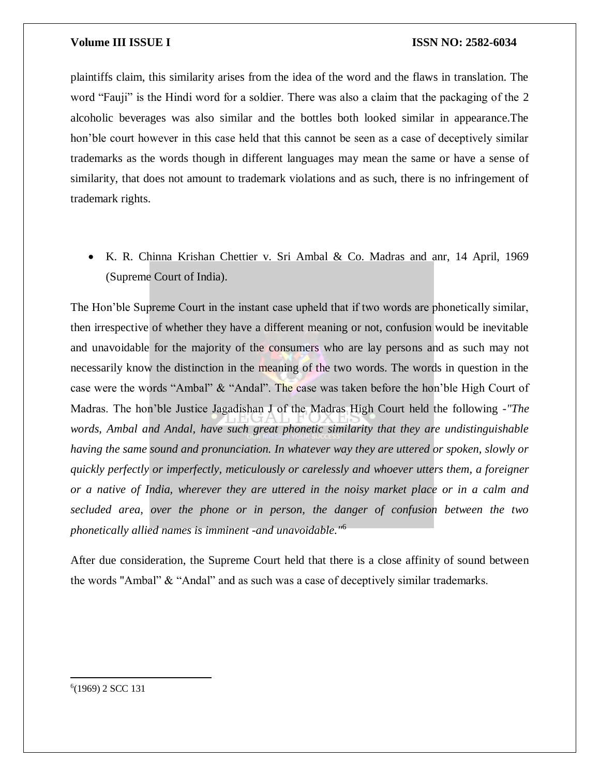plaintiffs claim, this similarity arises from the idea of the word and the flaws in translation. The word "Fauji" is the Hindi word for a soldier. There was also a claim that the packaging of the 2 alcoholic beverages was also similar and the bottles both looked similar in appearance.The hon'ble court however in this case held that this cannot be seen as a case of deceptively similar trademarks as the words though in different languages may mean the same or have a sense of similarity, that does not amount to trademark violations and as such, there is no infringement of trademark rights.

 K. R. Chinna Krishan Chettier v. Sri Ambal & Co. Madras and anr, 14 April, 1969 (Supreme Court of India).

The Hon'ble Supreme Court in the instant case upheld that if two words are phonetically similar, then irrespective of whether they have a different meaning or not, confusion would be inevitable and unavoidable for the majority of the consumers who are lay persons and as such may not necessarily know the distinction in the meaning of the two words. The words in question in the case were the words "Ambal" & "Andal". The case was taken before the hon'ble High Court of Madras. The hon'ble Justice Jagadishan J of the Madras High Court held the following -*"The words, Ambal and Andal, have such great phonetic similarity that they are undistinguishable having the same sound and pronunciation. In whatever way they are uttered or spoken, slowly or quickly perfectly or imperfectly, meticulously or carelessly and whoever utters them, a foreigner or a native of India, wherever they are uttered in the noisy market place or in a calm and secluded area, over the phone or in person, the danger of confusion between the two phonetically allied names is imminent -and unavoidable."*<sup>6</sup>

After due consideration, the Supreme Court held that there is a close affinity of sound between the words "Ambal" & "Andal" and as such was a case of deceptively similar trademarks.

6 (1969) 2 SCC 131

 $\overline{\phantom{a}}$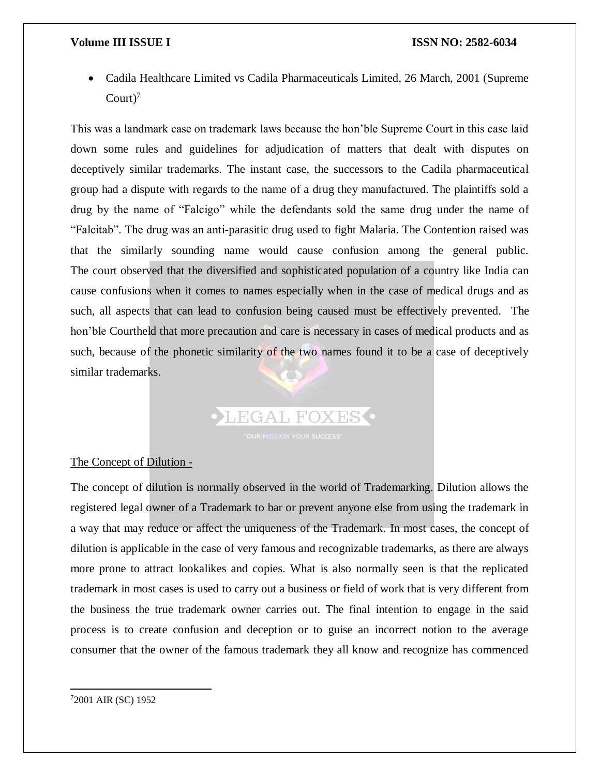Cadila Healthcare Limited vs Cadila Pharmaceuticals Limited, 26 March, 2001 (Supreme  $Count<sup>7</sup>$ 

This was a landmark case on trademark laws because the hon'ble Supreme Court in this case laid down some rules and guidelines for adjudication of matters that dealt with disputes on deceptively similar trademarks. The instant case, the successors to the Cadila pharmaceutical group had a dispute with regards to the name of a drug they manufactured. The plaintiffs sold a drug by the name of "Falcigo" while the defendants sold the same drug under the name of "Falcitab". The drug was an anti-parasitic drug used to fight Malaria. The Contention raised was that the similarly sounding name would cause confusion among the general public. The court observed that the diversified and sophisticated population of a country like India can cause confusions when it comes to names especially when in the case of medical drugs and as such, all aspects that can lead to confusion being caused must be effectively prevented. The hon'ble Courtheld that more precaution and care is necessary in cases of medical products and as such, because of the phonetic similarity of the two names found it to be a case of deceptively similar trademarks.

### The Concept of Dilution -

The concept of dilution is normally observed in the world of Trademarking. Dilution allows the registered legal owner of a Trademark to bar or prevent anyone else from using the trademark in a way that may reduce or affect the uniqueness of the Trademark. In most cases, the concept of dilution is applicable in the case of very famous and recognizable trademarks, as there are always more prone to attract lookalikes and copies. What is also normally seen is that the replicated trademark in most cases is used to carry out a business or field of work that is very different from the business the true trademark owner carries out. The final intention to engage in the said process is to create confusion and deception or to guise an incorrect notion to the average consumer that the owner of the famous trademark they all know and recognize has commenced

LEGAL FOXES .

 $\overline{a}$ 72001 AIR (SC) 1952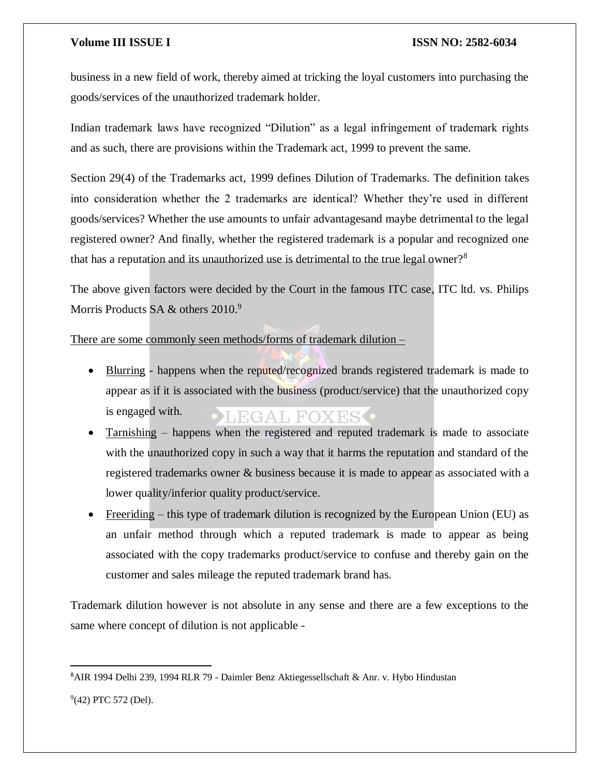business in a new field of work, thereby aimed at tricking the loyal customers into purchasing the goods/services of the unauthorized trademark holder.

Indian trademark laws have recognized "Dilution" as a legal infringement of trademark rights and as such, there are provisions within the Trademark act, 1999 to prevent the same.

Section 29(4) of the Trademarks act, 1999 defines Dilution of Trademarks. The definition takes into consideration whether the 2 trademarks are identical? Whether they're used in different goods/services? Whether the use amounts to unfair advantagesand maybe detrimental to the legal registered owner? And finally, whether the registered trademark is a popular and recognized one that has a reputation and its unauthorized use is detrimental to the true legal owner?<sup>8</sup>

The above given factors were decided by the Court in the famous ITC case, ITC ltd. vs. Philips Morris Products SA & others 2010.<sup>9</sup>

There are some commonly seen methods/forms of trademark dilution –

- Blurring happens when the reputed/recognized brands registered trademark is made to appear as if it is associated with the business (product/service) that the unauthorized copy is engaged with.  $\bullet$  THE GAL FOX ES  $\bullet$
- Tarnishing happens when the registered and reputed trademark is made to associate with the unauthorized copy in such a way that it harms the reputation and standard of the registered trademarks owner & business because it is made to appear as associated with a lower quality/inferior quality product/service.
- Freeriding this type of trademark dilution is recognized by the European Union (EU) as an unfair method through which a reputed trademark is made to appear as being associated with the copy trademarks product/service to confuse and thereby gain on the customer and sales mileage the reputed trademark brand has.

Trademark dilution however is not absolute in any sense and there are a few exceptions to the same where concept of dilution is not applicable -

<sup>8</sup>AIR 1994 Delhi 239, 1994 RLR 79 - Daimler Benz Aktiegessellschaft & Anr. v. Hybo Hindustan

<sup>&</sup>lt;sup>9</sup>(42) PTC 572 (Del).